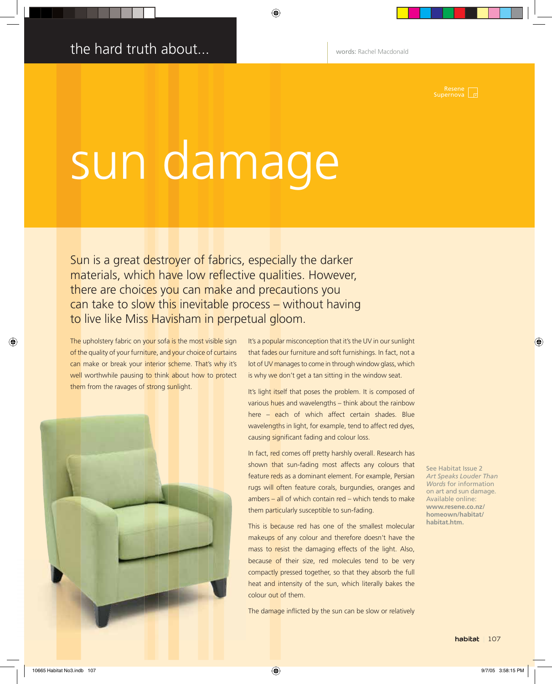Resene  $\sqrt{\frac{1}{16}}$ 

## sun damage

Sun is a great destroyer of fabrics, especially the darker materials, which have low reflective qualities. However, there are choices you can make and precautions you can take to slow this inevitable process - without having to live like Miss Havisham in perpetual gloom.

The upholstery fabric on your sofa is the most visible sign of the quality of your furniture, and your choice of curtains can make or break your interior scheme. That's why it's well worthwhile pausing to think about how to protect them from the ravages of strong sunlight.



It's a popular misconception that it's the UV in our sunlight that fades our furniture and soft furnishings. In fact, not a lot of UV manages to come in through window glass, which is why we don't get a tan sitting in the window seat.

It's light itself that poses the problem. It is composed of various hues and wavelengths - think about the rainbow here - each of which affect certain shades. Blue wavelengths in light, for example, tend to affect red dyes, causing significant fading and colour loss.

In fact, red comes off pretty harshly overall. Research has shown that sun-fading most affects any colours that feature reds as a dominant element. For example, Persian rugs will often feature corals, burgundies, oranges and ambers - all of which contain red - which tends to make them particularly susceptible to sun-fading.

This is because red has one of the smallest molecular makeups of any colour and therefore doesn't have the mass to resist the damaging effects of the light. Also, because of their size, red molecules tend to be very compactly pressed together, so that they absorb the full heat and intensity of the sun, which literally bakes the colour out of them.

The damage inflicted by the sun can be slow or relatively

See Habitat Issue 2 **Art Speaks Louder Than** Words for information on art and sun damage. Available online: www.resene.co.nz/ homeown/habitat/ habitat.htm.